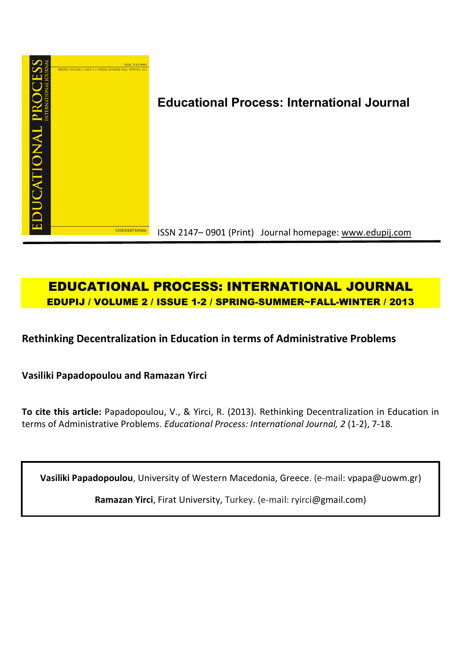

# **Educational Process: International Journal**

ISSN 2147– 0901 (Print) Journal homepage: www.edupij.com

## **EDUCATIONAL PROCESS: INTERNATIONAL JOURNAL EDUPIJ / VOLUME 2 / ISSUE 1-2 / SPRING-SUMMER~FALL-WINTER / 2013**

## **Rethinking Decentralization in Education in terms of Administrative Problems**

**Vasiliki Papadopoulou and Ramazan Yirci**

**To cite this article:** Papadopoulou, V., & Yirci, R. (2013). Rethinking Decentralization in Education in terms of Administrative Problems. *Educational Process: International Journal, 2* (1-2), 7-18.

**Vasiliki Papadopoulou**, University of Western Macedonia, Greece. (e-mail: vpapa@uowm.gr)

**Ramazan Yirci**, Firat University, Turkey. (e-mail: ryirci@gmail.com)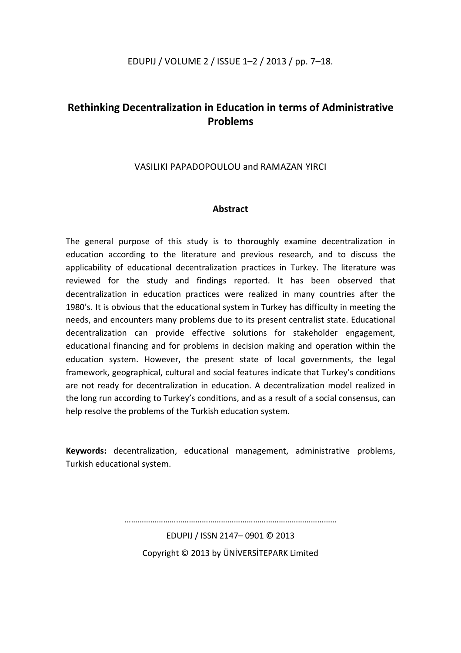## EDUPIJ / VOLUME 2 / ISSUE 1–2 / 2013 / pp. 7–18.

## **Rethinking Decentralization in Education in terms of Administrative Problems**

## VASILIKI PAPADOPOULOU and RAMAZAN YIRCI

## **Abstract**

The general purpose of this study is to thoroughly examine decentralization in education according to the literature and previous research, and to discuss the applicability of educational decentralization practices in Turkey. The literature was reviewed for the study and findings reported. It has been observed that decentralization in education practices were realized in many countries after the 1980's. It is obvious that the educational system in Turkey has difficulty in meeting the needs, and encounters many problems due to its present centralist state. Educational decentralization can provide effective solutions for stakeholder engagement, educational financing and for problems in decision making and operation within the education system. However, the present state of local governments, the legal framework, geographical, cultural and social features indicate that Turkey's conditions are not ready for decentralization in education. A decentralization model realized in the long run according to Turkey's conditions, and as a result of a social consensus, can help resolve the problems of the Turkish education system.

**Keywords:** decentralization, educational management, administrative problems, Turkish educational system.

> EDUPIJ / ISSN 2147– 0901 © 2013 Copyright © 2013 by ÜNİVERSİTEPARK Limited

………………………………………………………………………………………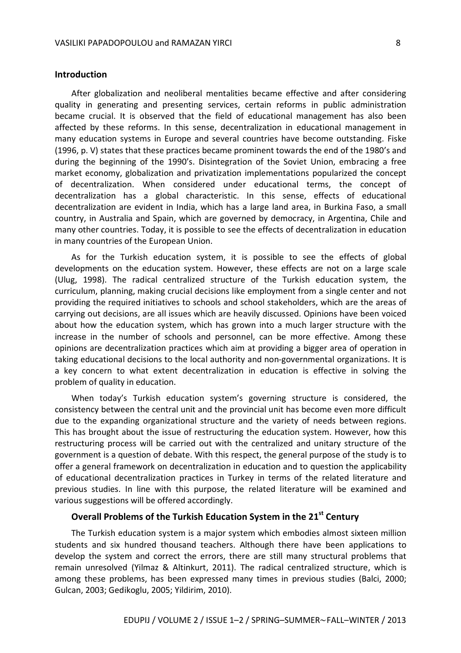#### **Introduction**

After globalization and neoliberal mentalities became effective and after considering quality in generating and presenting services, certain reforms in public administration became crucial. It is observed that the field of educational management has also been affected by these reforms. In this sense, decentralization in educational management in many education systems in Europe and several countries have become outstanding. Fiske (1996, p. V) states that these practices became prominent towards the end of the 1980's and during the beginning of the 1990's. Disintegration of the Soviet Union, embracing a free market economy, globalization and privatization implementations popularized the concept of decentralization. When considered under educational terms, the concept of decentralization has a global characteristic. In this sense, effects of educational decentralization are evident in India, which has a large land area, in Burkina Faso, a small country, in Australia and Spain, which are governed by democracy, in Argentina, Chile and many other countries. Today, it is possible to see the effects of decentralization in education in many countries of the European Union.

As for the Turkish education system, it is possible to see the effects of global developments on the education system. However, these effects are not on a large scale (Ulug, 1998). The radical centralized structure of the Turkish education system, the curriculum, planning, making crucial decisions like employment from a single center and not providing the required initiatives to schools and school stakeholders, which are the areas of carrying out decisions, are all issues which are heavily discussed. Opinions have been voiced about how the education system, which has grown into a much larger structure with the increase in the number of schools and personnel, can be more effective. Among these opinions are decentralization practices which aim at providing a bigger area of operation in taking educational decisions to the local authority and non-governmental organizations. It is a key concern to what extent decentralization in education is effective in solving the problem of quality in education.

When today's Turkish education system's governing structure is considered, the consistency between the central unit and the provincial unit has become even more difficult due to the expanding organizational structure and the variety of needs between regions. This has brought about the issue of restructuring the education system. However, how this restructuring process will be carried out with the centralized and unitary structure of the government is a question of debate. With this respect, the general purpose of the study is to offer a general framework on decentralization in education and to question the applicability of educational decentralization practices in Turkey in terms of the related literature and previous studies. In line with this purpose, the related literature will be examined and various suggestions will be offered accordingly.

## **Overall Problems of the Turkish Education System in the 21st Century**

The Turkish education system is a major system which embodies almost sixteen million students and six hundred thousand teachers. Although there have been applications to develop the system and correct the errors, there are still many structural problems that remain unresolved (Yilmaz & Altinkurt, 2011). The radical centralized structure, which is among these problems, has been expressed many times in previous studies (Balci, 2000; Gulcan, 2003; Gedikoglu, 2005; Yildirim, 2010).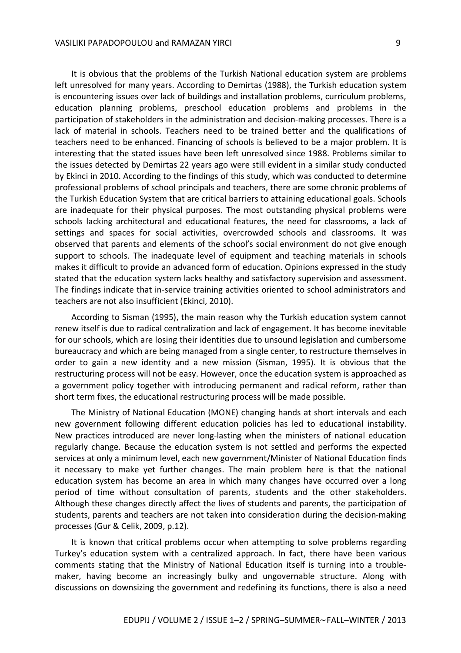It is obvious that the problems of the Turkish National education system are problems left unresolved for many years. According to Demirtas (1988), the Turkish education system is encountering issues over lack of buildings and installation problems, curriculum problems, education planning problems, preschool education problems and problems in the participation of stakeholders in the administration and decision-making processes. There is a lack of material in schools. Teachers need to be trained better and the qualifications of teachers need to be enhanced. Financing of schools is believed to be a major problem. It is interesting that the stated issues have been left unresolved since 1988. Problems similar to the issues detected by Demirtas 22 years ago were still evident in a similar study conducted by Ekinci in 2010. According to the findings of this study, which was conducted to determine professional problems of school principals and teachers, there are some chronic problems of the Turkish Education System that are critical barriers to attaining educational goals. Schools are inadequate for their physical purposes. The most outstanding physical problems were schools lacking architectural and educational features, the need for classrooms, a lack of settings and spaces for social activities, overcrowded schools and classrooms. It was observed that parents and elements of the school's social environment do not give enough support to schools. The inadequate level of equipment and teaching materials in schools makes it difficult to provide an advanced form of education. Opinions expressed in the study stated that the education system lacks healthy and satisfactory supervision and assessment. The findings indicate that in-service training activities oriented to school administrators and teachers are not also insufficient (Ekinci, 2010).

According to Sisman (1995), the main reason why the Turkish education system cannot renew itself is due to radical centralization and lack of engagement. It has become inevitable for our schools, which are losing their identities due to unsound legislation and cumbersome bureaucracy and which are being managed from a single center, to restructure themselves in order to gain a new identity and a new mission (Sisman, 1995). It is obvious that the restructuring process will not be easy. However, once the education system is approached as a government policy together with introducing permanent and radical reform, rather than short term fixes, the educational restructuring process will be made possible.

The Ministry of National Education (MONE) changing hands at short intervals and each new government following different education policies has led to educational instability. New practices introduced are never long-lasting when the ministers of national education regularly change. Because the education system is not settled and performs the expected services at only a minimum level, each new government/Minister of National Education finds it necessary to make yet further changes. The main problem here is that the national education system has become an area in which many changes have occurred over a long period of time without consultation of parents, students and the other stakeholders. Although these changes directly affect the lives of students and parents, the participation of students, parents and teachers are not taken into consideration during the decision-making processes (Gur & Celik, 2009, p.12).

It is known that critical problems occur when attempting to solve problems regarding Turkey's education system with a centralized approach. In fact, there have been various comments stating that the Ministry of National Education itself is turning into a troublemaker, having become an increasingly bulky and ungovernable structure. Along with discussions on downsizing the government and redefining its functions, there is also a need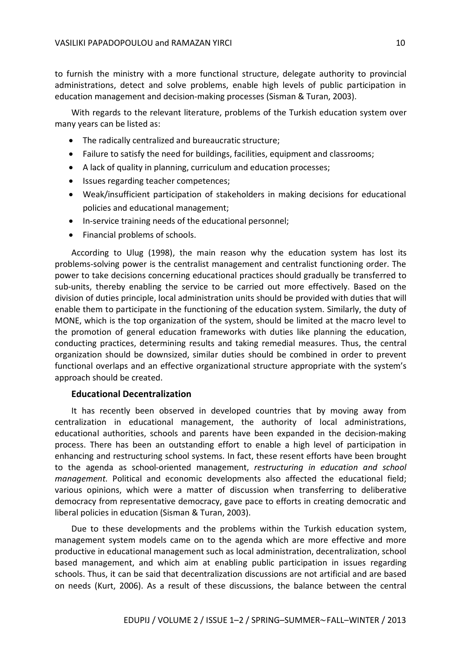to furnish the ministry with a more functional structure, delegate authority to provincial administrations, detect and solve problems, enable high levels of public participation in education management and decision-making processes (Sisman & Turan, 2003).

With regards to the relevant literature, problems of the Turkish education system over many years can be listed as:

- The radically centralized and bureaucratic structure;
- Failure to satisfy the need for buildings, facilities, equipment and classrooms;
- A lack of quality in planning, curriculum and education processes;
- Issues regarding teacher competences;
- Weak/insufficient participation of stakeholders in making decisions for educational policies and educational management;
- In-service training needs of the educational personnel;
- Financial problems of schools.

According to Ulug (1998), the main reason why the education system has lost its problems-solving power is the centralist management and centralist functioning order. The power to take decisions concerning educational practices should gradually be transferred to sub-units, thereby enabling the service to be carried out more effectively. Based on the division of duties principle, local administration units should be provided with duties that will enable them to participate in the functioning of the education system. Similarly, the duty of MONE, which is the top organization of the system, should be limited at the macro level to the promotion of general education frameworks with duties like planning the education, conducting practices, determining results and taking remedial measures. Thus, the central organization should be downsized, similar duties should be combined in order to prevent functional overlaps and an effective organizational structure appropriate with the system's approach should be created.

### **Educational Decentralization**

It has recently been observed in developed countries that by moving away from centralization in educational management, the authority of local administrations, educational authorities, schools and parents have been expanded in the decision-making process. There has been an outstanding effort to enable a high level of participation in enhancing and restructuring school systems. In fact, these resent efforts have been brought to the agenda as school-oriented management, *restructuring in education and school management.* Political and economic developments also affected the educational field; various opinions, which were a matter of discussion when transferring to deliberative democracy from representative democracy, gave pace to efforts in creating democratic and liberal policies in education (Sisman & Turan, 2003).

Due to these developments and the problems within the Turkish education system, management system models came on to the agenda which are more effective and more productive in educational management such as local administration, decentralization, school based management, and which aim at enabling public participation in issues regarding schools. Thus, it can be said that decentralization discussions are not artificial and are based on needs (Kurt, 2006). As a result of these discussions, the balance between the central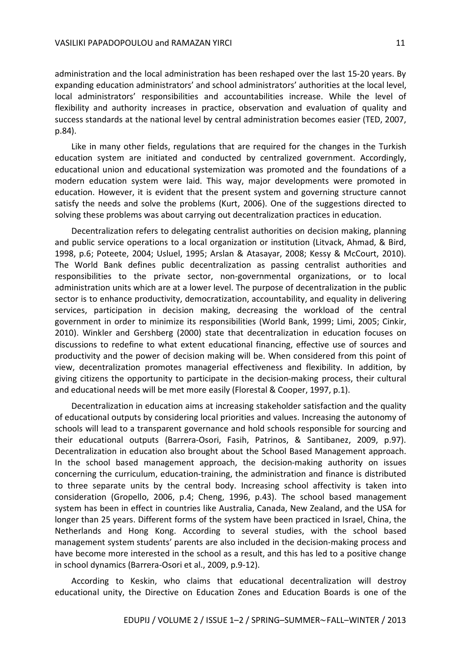administration and the local administration has been reshaped over the last 15-20 years. By expanding education administrators' and school administrators' authorities at the local level, local administrators' responsibilities and accountabilities increase. While the level of flexibility and authority increases in practice, observation and evaluation of quality and success standards at the national level by central administration becomes easier (TED, 2007, p.84).

Like in many other fields, regulations that are required for the changes in the Turkish education system are initiated and conducted by centralized government. Accordingly, educational union and educational systemization was promoted and the foundations of a modern education system were laid. This way, major developments were promoted in education. However, it is evident that the present system and governing structure cannot satisfy the needs and solve the problems (Kurt, 2006). One of the suggestions directed to solving these problems was about carrying out decentralization practices in education.

Decentralization refers to delegating centralist authorities on decision making, planning and public service operations to a local organization or institution (Litvack, Ahmad, & Bird, 1998, p.6; Poteete, 2004; Usluel, 1995; Arslan & Atasayar, 2008; Kessy & McCourt, 2010). The World Bank defines public decentralization as passing centralist authorities and responsibilities to the private sector, non-governmental organizations, or to local administration units which are at a lower level. The purpose of decentralization in the public sector is to enhance productivity, democratization, accountability, and equality in delivering services, participation in decision making, decreasing the workload of the central government in order to minimize its responsibilities (World Bank, 1999; Limi, 2005; Cinkir, 2010). Winkler and Gershberg (2000) state that decentralization in education focuses on discussions to redefine to what extent educational financing, effective use of sources and productivity and the power of decision making will be. When considered from this point of view, decentralization promotes managerial effectiveness and flexibility. In addition, by giving citizens the opportunity to participate in the decision-making process, their cultural and educational needs will be met more easily (Florestal & Cooper, 1997, p.1).

Decentralization in education aims at increasing stakeholder satisfaction and the quality of educational outputs by considering local priorities and values. Increasing the autonomy of schools will lead to a transparent governance and hold schools responsible for sourcing and their educational outputs (Barrera-Osori, Fasih, Patrinos, & Santibanez, 2009, p.97). Decentralization in education also brought about the School Based Management approach. In the school based management approach, the decision-making authority on issues concerning the curriculum, education-training, the administration and finance is distributed to three separate units by the central body. Increasing school affectivity is taken into consideration (Gropello, 2006, p.4; Cheng, 1996, p.43). The school based management system has been in effect in countries like Australia, Canada, New Zealand, and the USA for longer than 25 years. Different forms of the system have been practiced in Israel, China, the Netherlands and Hong Kong. According to several studies, with the school based management system students' parents are also included in the decision-making process and have become more interested in the school as a result, and this has led to a positive change in school dynamics (Barrera-Osori et al., 2009, p.9-12).

According to Keskin, who claims that educational decentralization will destroy educational unity, the Directive on Education Zones and Education Boards is one of the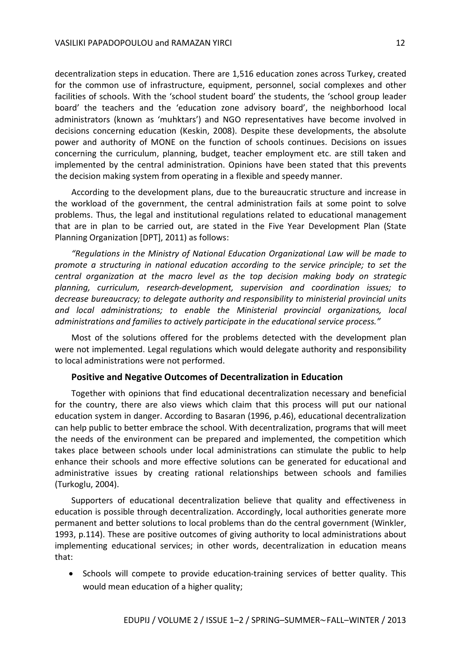decentralization steps in education. There are 1,516 education zones across Turkey, created for the common use of infrastructure, equipment, personnel, social complexes and other facilities of schools. With the 'school student board' the students, the 'school group leader board' the teachers and the 'education zone advisory board', the neighborhood local administrators (known as 'muhktars') and NGO representatives have become involved in decisions concerning education (Keskin, 2008). Despite these developments, the absolute power and authority of MONE on the function of schools continues. Decisions on issues concerning the curriculum, planning, budget, teacher employment etc. are still taken and implemented by the central administration. Opinions have been stated that this prevents the decision making system from operating in a flexible and speedy manner.

According to the development plans, due to the bureaucratic structure and increase in the workload of the government, the central administration fails at some point to solve problems. Thus, the legal and institutional regulations related to educational management that are in plan to be carried out, are stated in the Five Year Development Plan (State Planning Organization [DPT], 2011) as follows:

*"Regulations in the Ministry of National Education Organizational Law will be made to promote a structuring in national education according to the service principle; to set the central organization at the macro level as the top decision making body on strategic planning, curriculum, research-development, supervision and coordination issues; to decrease bureaucracy; to delegate authority and responsibility to ministerial provincial units and local administrations; to enable the Ministerial provincial organizations, local administrations and families to actively participate in the educational service process."*

Most of the solutions offered for the problems detected with the development plan were not implemented. Legal regulations which would delegate authority and responsibility to local administrations were not performed.

### **Positive and Negative Outcomes of Decentralization in Education**

Together with opinions that find educational decentralization necessary and beneficial for the country, there are also views which claim that this process will put our national education system in danger. According to Basaran (1996, p.46), educational decentralization can help public to better embrace the school. With decentralization, programs that will meet the needs of the environment can be prepared and implemented, the competition which takes place between schools under local administrations can stimulate the public to help enhance their schools and more effective solutions can be generated for educational and administrative issues by creating rational relationships between schools and families (Turkoglu, 2004).

Supporters of educational decentralization believe that quality and effectiveness in education is possible through decentralization. Accordingly, local authorities generate more permanent and better solutions to local problems than do the central government (Winkler, 1993, p.114). These are positive outcomes of giving authority to local administrations about implementing educational services; in other words, decentralization in education means that:

• Schools will compete to provide education-training services of better quality. This would mean education of a higher quality;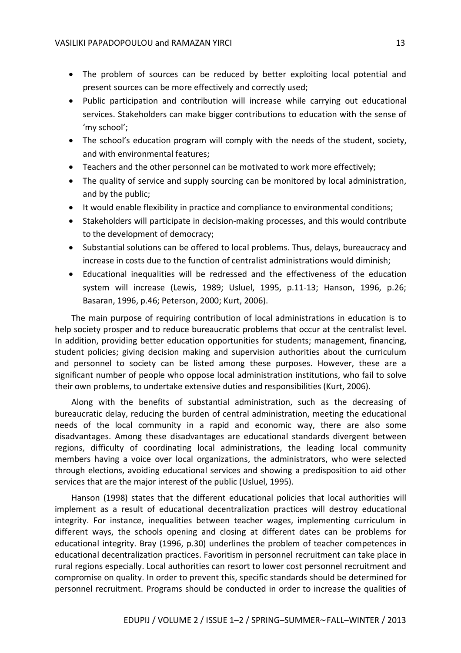- The problem of sources can be reduced by better exploiting local potential and present sources can be more effectively and correctly used;
- Public participation and contribution will increase while carrying out educational services. Stakeholders can make bigger contributions to education with the sense of 'my school';
- The school's education program will comply with the needs of the student, society, and with environmental features;
- Teachers and the other personnel can be motivated to work more effectively;
- The quality of service and supply sourcing can be monitored by local administration, and by the public;
- It would enable flexibility in practice and compliance to environmental conditions;
- Stakeholders will participate in decision-making processes, and this would contribute to the development of democracy;
- Substantial solutions can be offered to local problems. Thus, delays, bureaucracy and increase in costs due to the function of centralist administrations would diminish;
- Educational inequalities will be redressed and the effectiveness of the education system will increase (Lewis, 1989; Usluel, 1995, p.11-13; Hanson, 1996, p.26; Basaran, 1996, p.46; Peterson, 2000; Kurt, 2006).

The main purpose of requiring contribution of local administrations in education is to help society prosper and to reduce bureaucratic problems that occur at the centralist level. In addition, providing better education opportunities for students; management, financing, student policies; giving decision making and supervision authorities about the curriculum and personnel to society can be listed among these purposes. However, these are a significant number of people who oppose local administration institutions, who fail to solve their own problems, to undertake extensive duties and responsibilities (Kurt, 2006).

Along with the benefits of substantial administration, such as the decreasing of bureaucratic delay, reducing the burden of central administration, meeting the educational needs of the local community in a rapid and economic way, there are also some disadvantages. Among these disadvantages are educational standards divergent between regions, difficulty of coordinating local administrations, the leading local community members having a voice over local organizations, the administrators, who were selected through elections, avoiding educational services and showing a predisposition to aid other services that are the major interest of the public (Usluel, 1995).

Hanson (1998) states that the different educational policies that local authorities will implement as a result of educational decentralization practices will destroy educational integrity. For instance, inequalities between teacher wages, implementing curriculum in different ways, the schools opening and closing at different dates can be problems for educational integrity. Bray (1996, p.30) underlines the problem of teacher competences in educational decentralization practices. Favoritism in personnel recruitment can take place in rural regions especially. Local authorities can resort to lower cost personnel recruitment and compromise on quality. In order to prevent this, specific standards should be determined for personnel recruitment. Programs should be conducted in order to increase the qualities of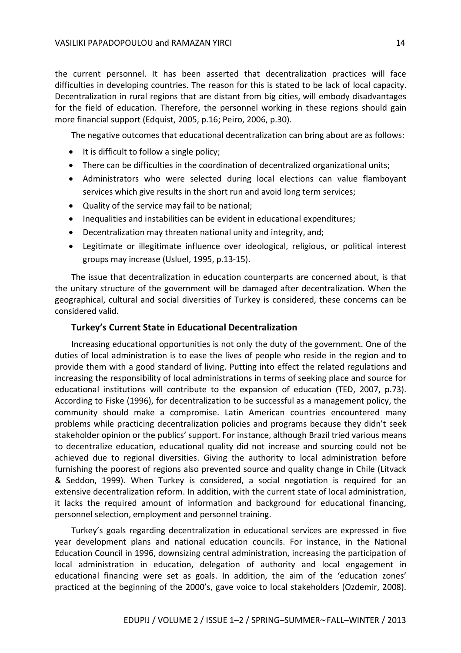the current personnel. It has been asserted that decentralization practices will face difficulties in developing countries. The reason for this is stated to be lack of local capacity. Decentralization in rural regions that are distant from big cities, will embody disadvantages for the field of education. Therefore, the personnel working in these regions should gain more financial support (Edquist, 2005, p.16; Peiro, 2006, p.30).

The negative outcomes that educational decentralization can bring about are as follows:

- $\bullet$  It is difficult to follow a single policy;
- There can be difficulties in the coordination of decentralized organizational units;
- Administrators who were selected during local elections can value flamboyant services which give results in the short run and avoid long term services;
- Quality of the service may fail to be national;
- Inequalities and instabilities can be evident in educational expenditures;
- Decentralization may threaten national unity and integrity, and;
- Legitimate or illegitimate influence over ideological, religious, or political interest groups may increase (Usluel, 1995, p.13-15).

The issue that decentralization in education counterparts are concerned about, is that the unitary structure of the government will be damaged after decentralization. When the geographical, cultural and social diversities of Turkey is considered, these concerns can be considered valid.

### **Turkey's Current State in Educational Decentralization**

Increasing educational opportunities is not only the duty of the government. One of the duties of local administration is to ease the lives of people who reside in the region and to provide them with a good standard of living. Putting into effect the related regulations and increasing the responsibility of local administrations in terms of seeking place and source for educational institutions will contribute to the expansion of education (TED, 2007, p.73). According to Fiske (1996), for decentralization to be successful as a management policy, the community should make a compromise. Latin American countries encountered many problems while practicing decentralization policies and programs because they didn't seek stakeholder opinion or the publics' support. For instance, although Brazil tried various means to decentralize education, educational quality did not increase and sourcing could not be achieved due to regional diversities. Giving the authority to local administration before furnishing the poorest of regions also prevented source and quality change in Chile (Litvack & Seddon, 1999). When Turkey is considered, a social negotiation is required for an extensive decentralization reform. In addition, with the current state of local administration, it lacks the required amount of information and background for educational financing, personnel selection, employment and personnel training.

Turkey's goals regarding decentralization in educational services are expressed in five year development plans and national education councils. For instance, in the National Education Council in 1996, downsizing central administration, increasing the participation of local administration in education, delegation of authority and local engagement in educational financing were set as goals. In addition, the aim of the 'education zones' practiced at the beginning of the 2000's, gave voice to local stakeholders (Ozdemir, 2008).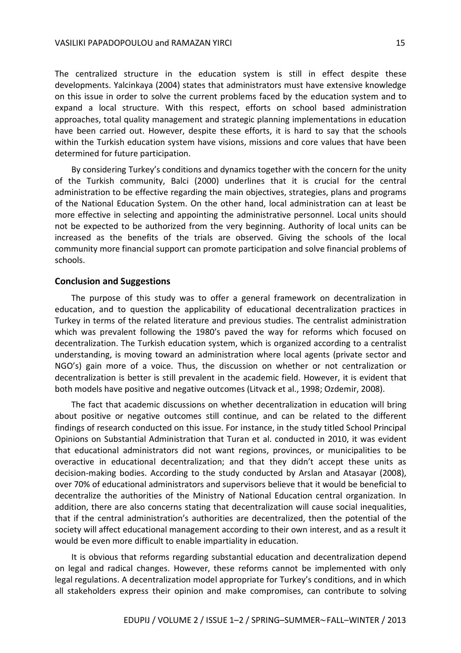The centralized structure in the education system is still in effect despite these developments. Yalcinkaya (2004) states that administrators must have extensive knowledge on this issue in order to solve the current problems faced by the education system and to expand a local structure. With this respect, efforts on school based administration approaches, total quality management and strategic planning implementations in education have been carried out. However, despite these efforts, it is hard to say that the schools within the Turkish education system have visions, missions and core values that have been determined for future participation.

By considering Turkey's conditions and dynamics together with the concern for the unity of the Turkish community, Balci (2000) underlines that it is crucial for the central administration to be effective regarding the main objectives, strategies, plans and programs of the National Education System. On the other hand, local administration can at least be more effective in selecting and appointing the administrative personnel. Local units should not be expected to be authorized from the very beginning. Authority of local units can be increased as the benefits of the trials are observed. Giving the schools of the local community more financial support can promote participation and solve financial problems of schools.

#### **Conclusion and Suggestions**

The purpose of this study was to offer a general framework on decentralization in education, and to question the applicability of educational decentralization practices in Turkey in terms of the related literature and previous studies. The centralist administration which was prevalent following the 1980's paved the way for reforms which focused on decentralization. The Turkish education system, which is organized according to a centralist understanding, is moving toward an administration where local agents (private sector and NGO's) gain more of a voice. Thus, the discussion on whether or not centralization or decentralization is better is still prevalent in the academic field. However, it is evident that both models have positive and negative outcomes (Litvack et al., 1998; Ozdemir, 2008).

The fact that academic discussions on whether decentralization in education will bring about positive or negative outcomes still continue, and can be related to the different findings of research conducted on this issue. For instance, in the study titled School Principal Opinions on Substantial Administration that Turan et al. conducted in 2010, it was evident that educational administrators did not want regions, provinces, or municipalities to be overactive in educational decentralization; and that they didn't accept these units as decision-making bodies. According to the study conducted by Arslan and Atasayar (2008), over 70% of educational administrators and supervisors believe that it would be beneficial to decentralize the authorities of the Ministry of National Education central organization. In addition, there are also concerns stating that decentralization will cause social inequalities, that if the central administration's authorities are decentralized, then the potential of the society will affect educational management according to their own interest, and as a result it would be even more difficult to enable impartiality in education.

It is obvious that reforms regarding substantial education and decentralization depend on legal and radical changes. However, these reforms cannot be implemented with only legal regulations. A decentralization model appropriate for Turkey's conditions, and in which all stakeholders express their opinion and make compromises, can contribute to solving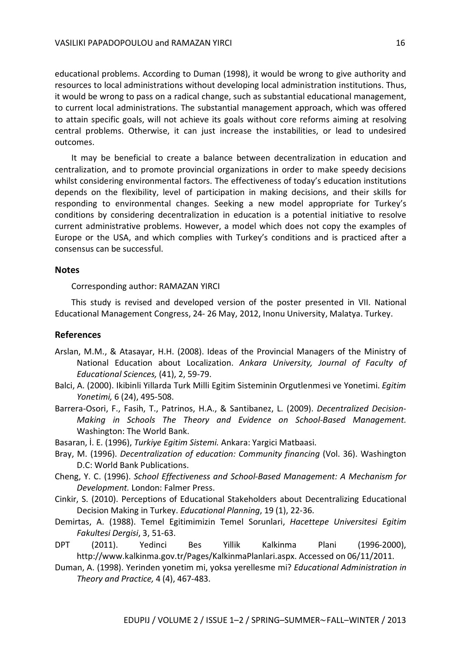educational problems. According to Duman (1998), it would be wrong to give authority and resources to local administrations without developing local administration institutions. Thus, it would be wrong to pass on a radical change, such as substantial educational management, to current local administrations. The substantial management approach, which was offered to attain specific goals, will not achieve its goals without core reforms aiming at resolving central problems. Otherwise, it can just increase the instabilities, or lead to undesired outcomes.

It may be beneficial to create a balance between decentralization in education and centralization, and to promote provincial organizations in order to make speedy decisions whilst considering environmental factors. The effectiveness of today's education institutions depends on the flexibility, level of participation in making decisions, and their skills for responding to environmental changes. Seeking a new model appropriate for Turkey's conditions by considering decentralization in education is a potential initiative to resolve current administrative problems. However, a model which does not copy the examples of Europe or the USA, and which complies with Turkey's conditions and is practiced after a consensus can be successful.

### **Notes**

Corresponding author: RAMAZAN YIRCI

This study is revised and developed version of the poster presented in VII. National Educational Management Congress, 24- 26 May, 2012, Inonu University, Malatya. Turkey.

### **References**

- Arslan, M.M., & Atasayar, H.H. (2008). Ideas of the Provincial Managers of the Ministry of National Education about Localization. *Ankara University, Journal of Faculty of Educational Sciences,* (41), 2, 59-79.
- Balci, A. (2000). Ikibinli Yillarda Turk Milli Egitim Sisteminin Orgutlenmesi ve Yonetimi. *Egitim Yonetimi,* 6 (24), 495-508.
- Barrera-Osori, F., Fasih, T., Patrinos, H.A., & Santibanez, L. (2009). *Decentralized Decision-Making in Schools The Theory and Evidence on School-Based Management.*  Washington: The World Bank.
- Basaran, İ. E. (1996), *Turkiye Egitim Sistemi.* Ankara: Yargici Matbaasi.
- Bray, M. (1996). *Decentralization of education: Community financing* (Vol. 36). Washington D.C: World Bank Publications.
- Cheng, Y. C. (1996). *School Effectiveness and School-Based Management: A Mechanism for Development.* London: Falmer Press.
- Cinkir, S. (2010). Perceptions of Educational Stakeholders about Decentralizing Educational Decision Making in Turkey. *Educational Planning*, 19 (1), 22-36.
- Demirtas, A. (1988). Temel Egitimimizin Temel Sorunlari, *Hacettepe Universitesi Egitim Fakultesi Dergisi*, 3, 51-63.
- DPT (2011). Yedinci Bes Yillik Kalkinma Plani (1996-2000), http://www.kalkinma.gov.tr/Pages/KalkinmaPlanlari.aspx. Accessed on 06/11/2011.
- Duman, A. (1998). Yerinden yonetim mi, yoksa yerellesme mi? *Educational Administration in Theory and Practice,* 4 (4), 467-483.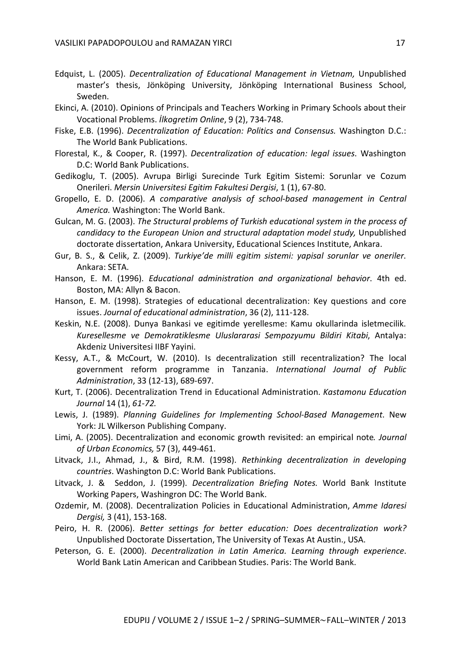- Edquist, L. (2005). *Decentralization of Educational Management in Vietnam,* Unpublished master's thesis, Jönköping University, Jönköping International Business School, Sweden.
- Ekinci, A. (2010). Opinions of Principals and Teachers Working in Primary Schools about their Vocational Problems. *İlkogretim Online*, 9 (2), 734-748.
- Fiske, E.B. (1996). *Decentralization of Education: Politics and Consensus.* Washington D.C.: The World Bank Publications.
- Florestal, K., & Cooper, R. (1997). *Decentralization of education: legal issues*. Washington D.C: World Bank Publications.
- Gedikoglu, T. (2005). Avrupa Birligi Surecinde Turk Egitim Sistemi: Sorunlar ve Cozum Onerileri. *Mersin Universitesi Egitim Fakultesi Dergisi*, 1 (1), 67-80.
- Gropello, E. D. (2006). *A comparative analysis of school-based management in Central America.* Washington: The World Bank.
- Gulcan, M. G. (2003). *The Structural problems of Turkish educational system in the process of*  candidacy to the European Union and structural adaptation model study, Unpublished doctorate dissertation, Ankara University, Educational Sciences Institute, Ankara.
- Gur, B. S., & Celik, Z. (2009). *Turkiye'de milli egitim sistemi: yapisal sorunlar ve oneriler*. Ankara: SETA.
- Hanson, E. M. (1996). *Educational administration and organizational behavior*. 4th ed. Boston, MA: Allyn & Bacon.
- Hanson, E. M. (1998). Strategies of educational decentralization: Key questions and core issues. *Journal of educational administration*, 36 (2), 111-128.
- Keskin, N.E. (2008). Dunya Bankasi ve egitimde yerellesme: Kamu okullarinda isletmecilik. *Kuresellesme ve Demokratiklesme Uluslararasi Sempozyumu Bildiri Kitabi*, Antalya: Akdeniz Universitesi IIBF Yayini.
- Kessy, A.T., & McCourt, W. (2010). Is decentralization still recentralization? The local government reform programme in Tanzania. *International Journal of Public Administration*, 33 (12-13), 689-697.
- Kurt, T. (2006). Decentralization Trend in Educational Administration. *Kastamonu Education Journal* 14 (1), *61-72.*
- Lewis, J. (1989). *Planning Guidelines for Implementing School-Based Management*. New York: JL Wilkerson Publishing Company.
- Limi, A. (2005). Decentralization and economic growth revisited: an empirical note*. Journal of Urban Economics,* 57 (3), 449-461.
- Litvack, J.I., Ahmad, J., & Bird, R.M. (1998). *Rethinking decentralization in developing countries*. Washington D.C: World Bank Publications.
- Litvack, J. & Seddon, J. (1999). *Decentralization Briefing Notes.* World Bank Institute Working Papers, Washingron DC: The World Bank.
- Ozdemir, M. (2008). Decentralization Policies in Educational Administration, *Amme Idaresi Dergisi,* 3 (41), 153-168.
- Peiro, H. R. (2006). *Better settings for better education: Does decentralization work?* Unpublished Doctorate Dissertation, The University of Texas At Austin., USA.
- Peterson, G. E. (2000). *Decentralization in Latin America. Learning through experience*. World Bank Latin American and Caribbean Studies. Paris: The World Bank.